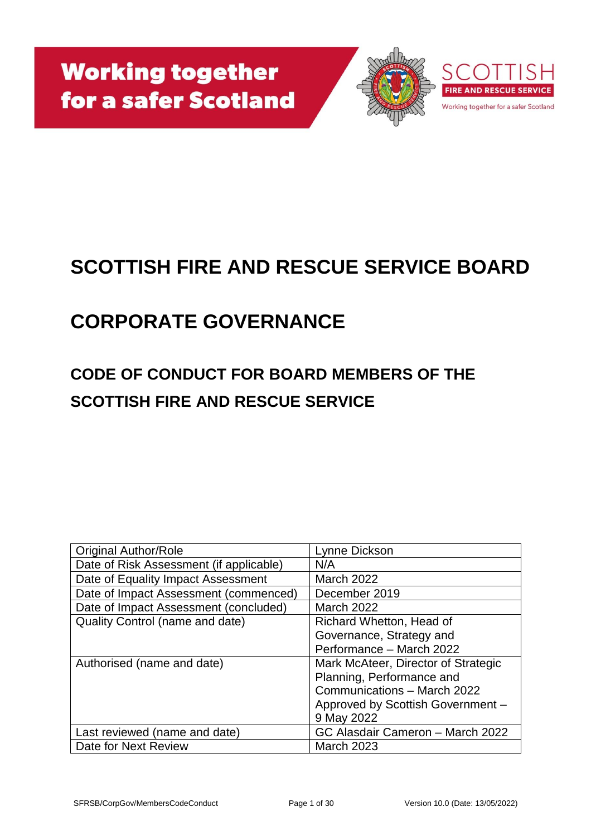

# **SCOTTISH FIRE AND RESCUE SERVICE BOARD**

# **CORPORATE GOVERNANCE**

## **CODE OF CONDUCT FOR BOARD MEMBERS OF THE SCOTTISH FIRE AND RESCUE SERVICE**

| <b>Original Author/Role</b>             | Lynne Dickson                       |
|-----------------------------------------|-------------------------------------|
| Date of Risk Assessment (if applicable) | N/A                                 |
| Date of Equality Impact Assessment      | <b>March 2022</b>                   |
| Date of Impact Assessment (commenced)   | December 2019                       |
| Date of Impact Assessment (concluded)   | March 2022                          |
| Quality Control (name and date)         | Richard Whetton, Head of            |
|                                         | Governance, Strategy and            |
|                                         | Performance - March 2022            |
| Authorised (name and date)              | Mark McAteer, Director of Strategic |
|                                         | Planning, Performance and           |
|                                         | Communications - March 2022         |
|                                         | Approved by Scottish Government -   |
|                                         | 9 May 2022                          |
| Last reviewed (name and date)           | GC Alasdair Cameron - March 2022    |
| Date for Next Review                    | <b>March 2023</b>                   |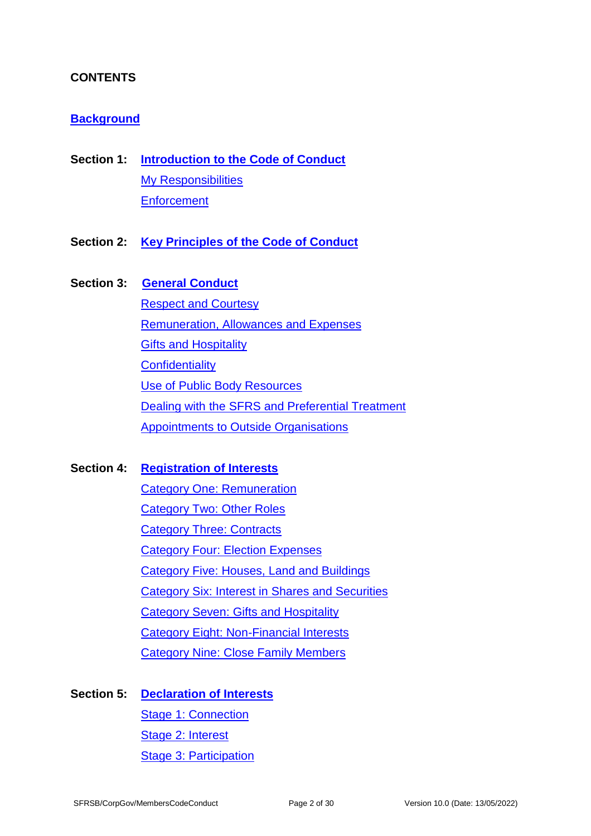## **CONTENTS**

#### **[Background](#page-3-0)**

- **Section 1: [Introduction to the Code of Conduct](#page-4-0)** [My Responsibilities](#page-4-1) **[Enforcement](#page-5-0)**
- **Section 2: [Key Principles of the Code of Conduct](#page-6-0)**

#### **Section 3: [General Conduct](#page-8-0)**

[Respect and Courtesy](#page-8-1) [Remuneration, Allowances and Expenses](#page-9-0) [Gifts and Hospitality](#page-10-0) **[Confidentiality](#page-11-0)** [Use of Public Body Resources](#page-12-0) Dealing with the SFRS [and Preferential Treatment](#page-12-1) [Appointments to Outside Organisations](#page-12-2)

**Section 4: [Registration of Interests](#page-14-0)**

[Category One: Remuneration](#page-14-1) [Category Two: Other Roles](#page-16-0) [Category Three: Contracts](#page-16-1) [Category Four: Election Expenses](#page-16-2) [Category Five: Houses, Land and Buildings](#page-17-0) [Category Six: Interest in Shares and Securities](#page-17-1) [Category Seven: Gifts and Hospitality](#page-17-2) [Category Eight: Non-Financial Interests](#page-17-3) [Category Nine: Close Family Members](#page-18-0)

#### **Section 5: [Declaration of Interests](#page-19-0)**

[Stage 1: Connection](#page-19-1) [Stage 2: Interest](#page-19-2) [Stage 3: Participation](#page-20-0)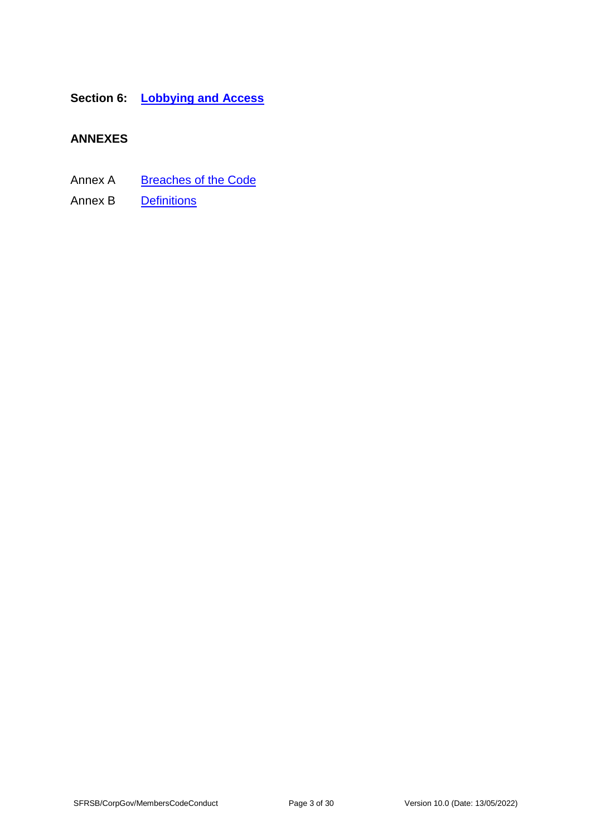## **Section 6: [Lobbying and Access](#page-21-0)**

## **ANNEXES**

- Annex A [Breaches of the Code](#page-23-0)
- Annex B [Definitions](#page-27-0)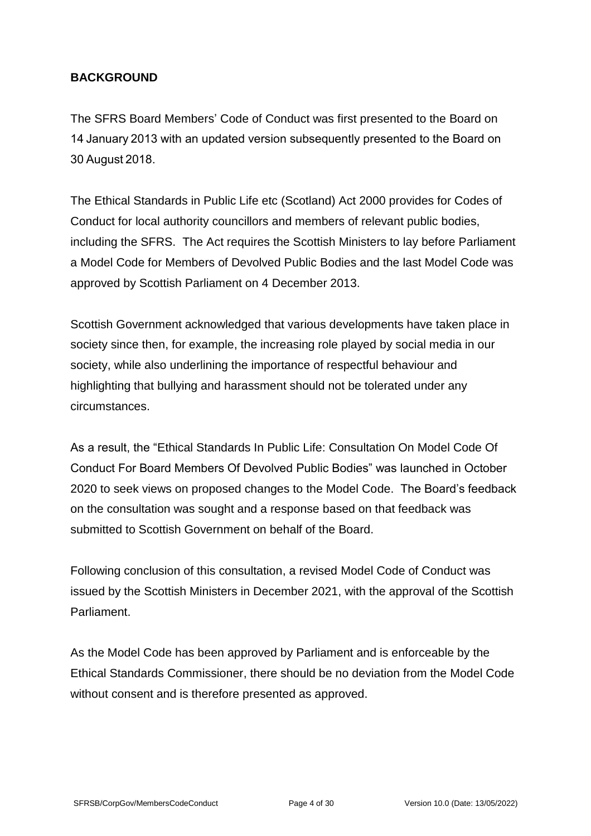## <span id="page-3-0"></span>**BACKGROUND**

The SFRS Board Members' Code of Conduct was first presented to the Board on 14 January 2013 with an updated version subsequently presented to the Board on 30 August 2018.

The Ethical Standards in Public Life etc (Scotland) Act 2000 provides for Codes of Conduct for local authority councillors and members of relevant public bodies, including the SFRS. The Act requires the Scottish Ministers to lay before Parliament a Model Code for Members of Devolved Public Bodies and the last Model Code was approved by Scottish Parliament on 4 December 2013.

Scottish Government acknowledged that various developments have taken place in society since then, for example, the increasing role played by social media in our society, while also underlining the importance of respectful behaviour and highlighting that bullying and harassment should not be tolerated under any circumstances.

As a result, the "Ethical Standards In Public Life: Consultation On Model Code Of Conduct For Board Members Of Devolved Public Bodies" was launched in October 2020 to seek views on proposed changes to the Model Code. The Board's feedback on the consultation was sought and a response based on that feedback was submitted to Scottish Government on behalf of the Board.

Following conclusion of this consultation, a revised Model Code of Conduct was issued by the Scottish Ministers in December 2021, with the approval of the Scottish Parliament.

As the Model Code has been approved by Parliament and is enforceable by the Ethical Standards Commissioner, there should be no deviation from the Model Code without consent and is therefore presented as approved.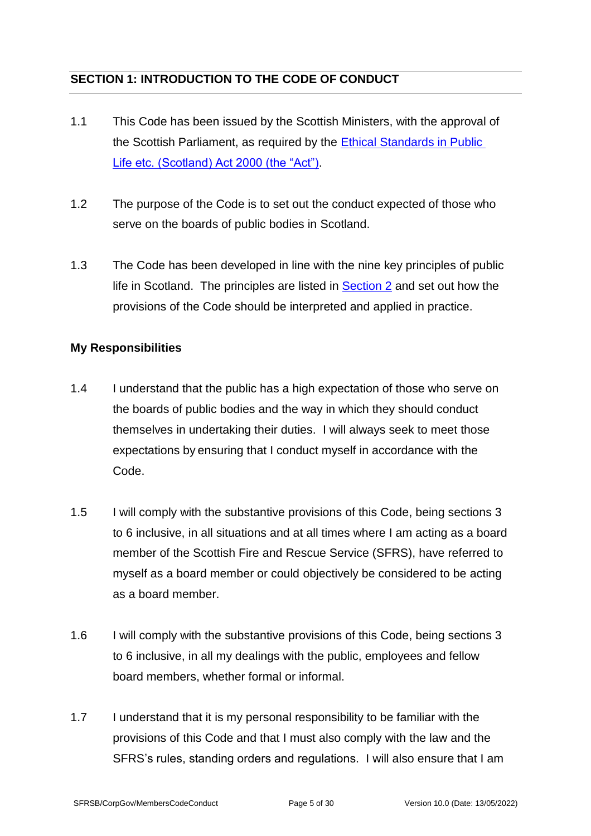## <span id="page-4-0"></span>**SECTION 1: INTRODUCTION TO THE CODE OF CONDUCT**

- 1.1 This Code has been issued by the Scottish Ministers, with the approval of the Scottish Parliament, as required by the [Ethical Standards in Public](https://www.legislation.gov.uk/asp/2000/7/contents)  [Life etc. \(Scotland\) Act 2000 \(the "Act"\).](https://www.legislation.gov.uk/asp/2000/7/contents)
- 1.2 The purpose of the Code is to set out the conduct expected of those who serve on the boards of public bodies in Scotland.
- 1.3 The Code has been developed in line with the nine key principles of public life in Scotland. The principles are listed in [Section 2](#page-5-1) and set out how the provisions of the Code should be interpreted and applied in practice.

## <span id="page-4-1"></span>**My Responsibilities**

- 1.4 I understand that the public has a high expectation of those who serve on the boards of public bodies and the way in which they should conduct themselves in undertaking their duties. I will always seek to meet those expectations by ensuring that I conduct myself in accordance with the Code.
- 1.5 I will comply with the substantive provisions of this Code, being sections 3 to 6 inclusive, in all situations and at all times where I am acting as a board member of the Scottish Fire and Rescue Service (SFRS), have referred to myself as a board member or could objectively be considered to be acting as a board member.
- 1.6 I will comply with the substantive provisions of this Code, being sections 3 to 6 inclusive, in all my dealings with the public, employees and fellow board members, whether formal or informal.
- 1.7 I understand that it is my personal responsibility to be familiar with the provisions of this Code and that I must also comply with the law and the SFRS's rules, standing orders and regulations. I will also ensure that I am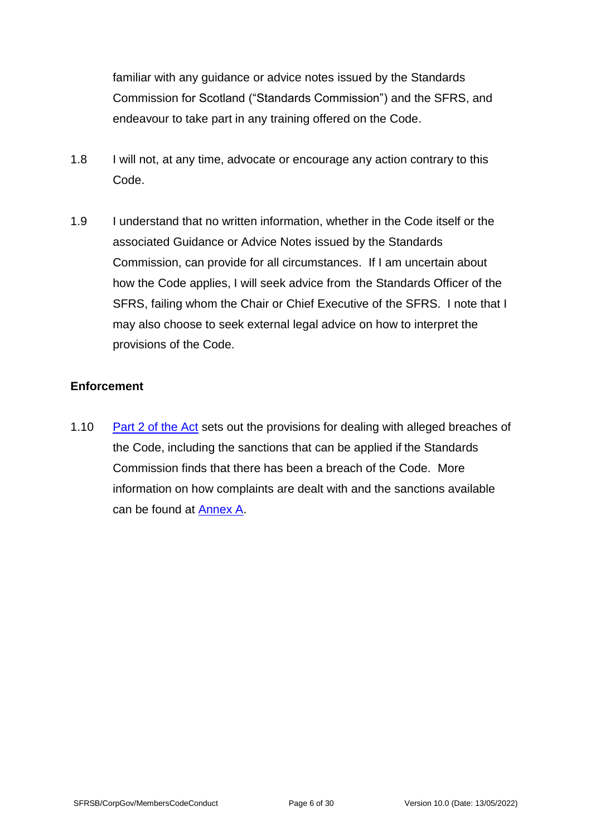familiar with any guidance or advice notes issued by the Standards Commission for Scotland ("Standards Commission") and the SFRS, and endeavour to take part in any training offered on the Code.

- 1.8 I will not, at any time, advocate or encourage any action contrary to this Code.
- 1.9 I understand that no written information, whether in the Code itself or the associated Guidance or Advice Notes issued by the Standards Commission, can provide for all circumstances. If I am uncertain about how the Code applies, I will seek advice from the Standards Officer of the SFRS, failing whom the Chair or Chief Executive of the SFRS. I note that I may also choose to seek external legal advice on how to interpret the provisions of the Code.

## <span id="page-5-0"></span>**Enforcement**

<span id="page-5-1"></span>1.10 [Part 2 of the Act](https://www.legislation.gov.uk/asp/2000/7/contents) sets out the provisions for dealing with alleged breaches of the Code, including the sanctions that can be applied if the Standards Commission finds that there has been a breach of the Code. More information on how complaints are dealt with and the sanctions available can be found at [Annex A.](#page-23-0)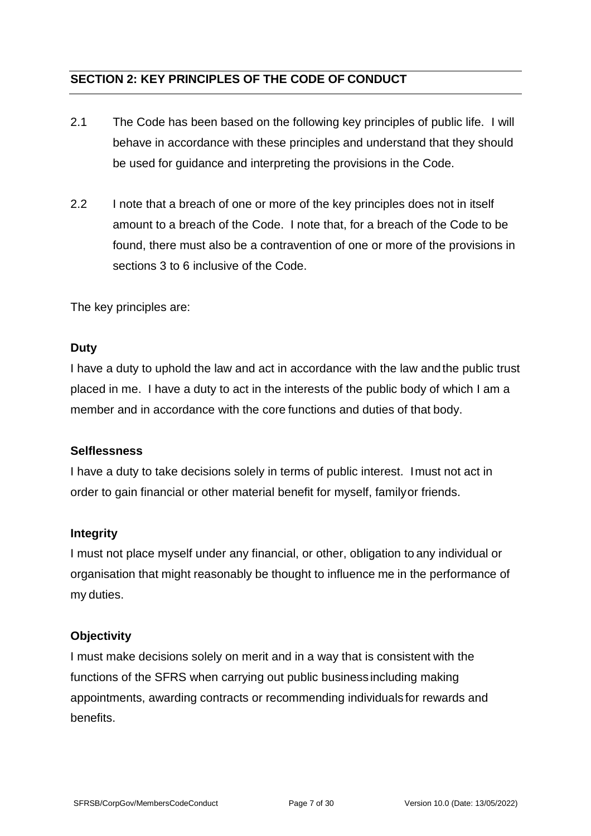## <span id="page-6-0"></span>**SECTION 2: KEY PRINCIPLES OF THE CODE OF CONDUCT**

- 2.1 The Code has been based on the following key principles of public life. I will behave in accordance with these principles and understand that they should be used for guidance and interpreting the provisions in the Code.
- 2.2 I note that a breach of one or more of the key principles does not in itself amount to a breach of the Code. I note that, for a breach of the Code to be found, there must also be a contravention of one or more of the provisions in sections 3 to 6 inclusive of the Code.

The key principles are:

#### **Duty**

I have a duty to uphold the law and act in accordance with the law andthe public trust placed in me. I have a duty to act in the interests of the public body of which I am a member and in accordance with the core functions and duties of that body.

#### **Selflessness**

I have a duty to take decisions solely in terms of public interest. Imust not act in order to gain financial or other material benefit for myself, familyor friends.

#### **Integrity**

I must not place myself under any financial, or other, obligation to any individual or organisation that might reasonably be thought to influence me in the performance of my duties.

#### **Objectivity**

I must make decisions solely on merit and in a way that is consistent with the functions of the SFRS when carrying out public business including making appointments, awarding contracts or recommending individuals for rewards and benefits.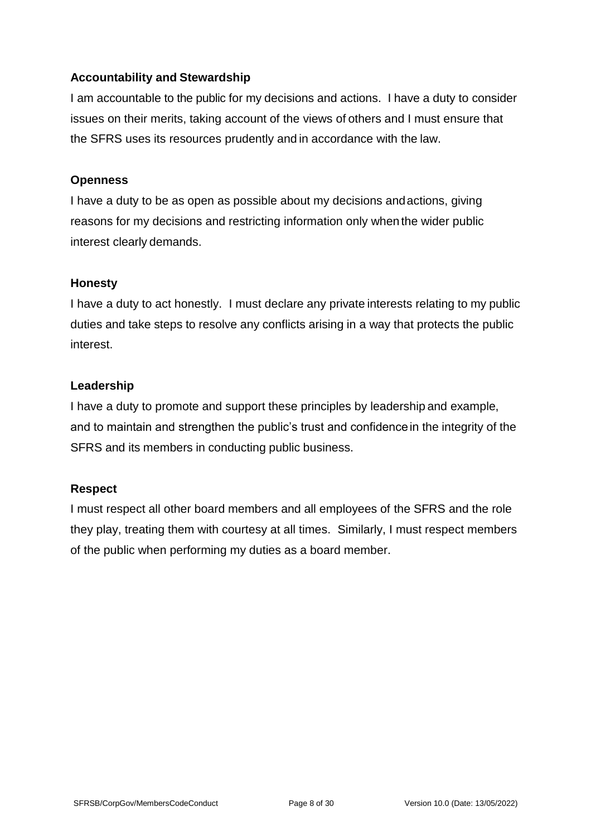### **Accountability and Stewardship**

I am accountable to the public for my decisions and actions. I have a duty to consider issues on their merits, taking account of the views of others and I must ensure that the SFRS uses its resources prudently and in accordance with the law.

#### **Openness**

I have a duty to be as open as possible about my decisions andactions, giving reasons for my decisions and restricting information only when the wider public interest clearly demands.

#### **Honesty**

I have a duty to act honestly. I must declare any private interests relating to my public duties and take steps to resolve any conflicts arising in a way that protects the public interest.

#### **Leadership**

I have a duty to promote and support these principles by leadership and example, and to maintain and strengthen the public's trust and confidencein the integrity of the SFRS and its members in conducting public business.

## **Respect**

I must respect all other board members and all employees of the SFRS and the role they play, treating them with courtesy at all times. Similarly, I must respect members of the public when performing my duties as a board member.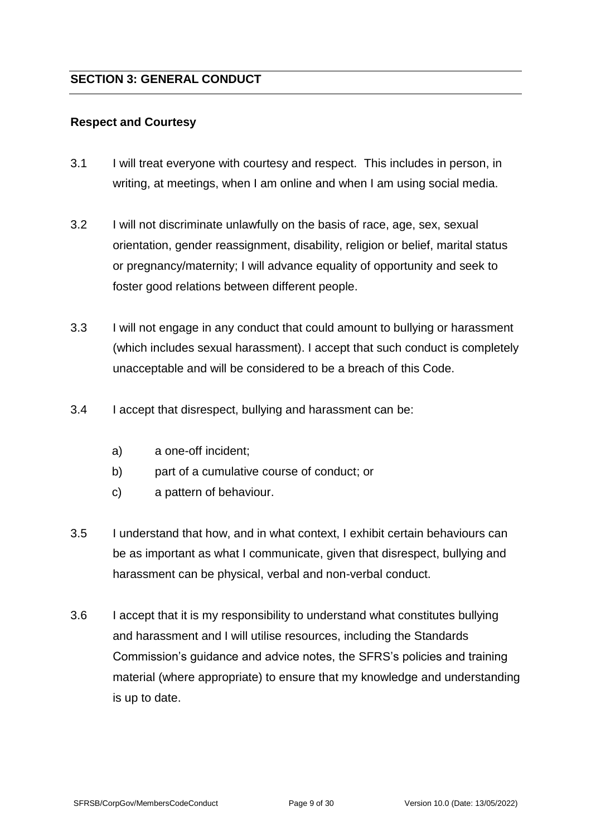#### <span id="page-8-1"></span><span id="page-8-0"></span>**Respect and Courtesy**

- 3.1 I will treat everyone with courtesy and respect. This includes in person, in writing, at meetings, when I am online and when I am using social media.
- 3.2 I will not discriminate unlawfully on the basis of race, age, sex, sexual orientation, gender reassignment, disability, religion or belief, marital status or pregnancy/maternity; I will advance equality of opportunity and seek to foster good relations between different people.
- 3.3 I will not engage in any conduct that could amount to bullying or harassment (which includes sexual harassment). I accept that such conduct is completely unacceptable and will be considered to be a breach of this Code.
- 3.4 I accept that disrespect, bullying and harassment can be:
	- a) a one-off incident;
	- b) part of a cumulative course of conduct; or
	- c) a pattern of behaviour.
- 3.5 I understand that how, and in what context, I exhibit certain behaviours can be as important as what I communicate, given that disrespect, bullying and harassment can be physical, verbal and non-verbal conduct.
- 3.6 I accept that it is my responsibility to understand what constitutes bullying and harassment and I will utilise resources, including the Standards Commission's guidance and advice notes, the SFRS's policies and training material (where appropriate) to ensure that my knowledge and understanding is up to date.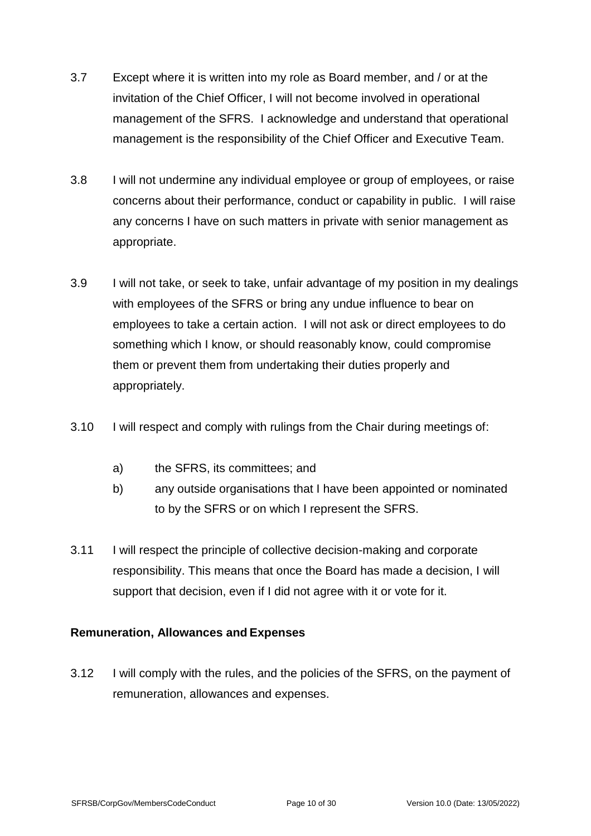- 3.7 Except where it is written into my role as Board member, and / or at the invitation of the Chief Officer, I will not become involved in operational management of the SFRS. I acknowledge and understand that operational management is the responsibility of the Chief Officer and Executive Team.
- 3.8 I will not undermine any individual employee or group of employees, or raise concerns about their performance, conduct or capability in public. I will raise any concerns I have on such matters in private with senior management as appropriate.
- 3.9 I will not take, or seek to take, unfair advantage of my position in my dealings with employees of the SFRS or bring any undue influence to bear on employees to take a certain action. I will not ask or direct employees to do something which I know, or should reasonably know, could compromise them or prevent them from undertaking their duties properly and appropriately.
- 3.10 I will respect and comply with rulings from the Chair during meetings of:
	- a) the SFRS, its committees; and
	- b) any outside organisations that I have been appointed or nominated to by the SFRS or on which I represent the SFRS.
- 3.11 I will respect the principle of collective decision-making and corporate responsibility. This means that once the Board has made a decision, I will support that decision, even if I did not agree with it or vote for it.

## <span id="page-9-0"></span>**Remuneration, Allowances and Expenses**

3.12 I will comply with the rules, and the policies of the SFRS, on the payment of remuneration, allowances and expenses.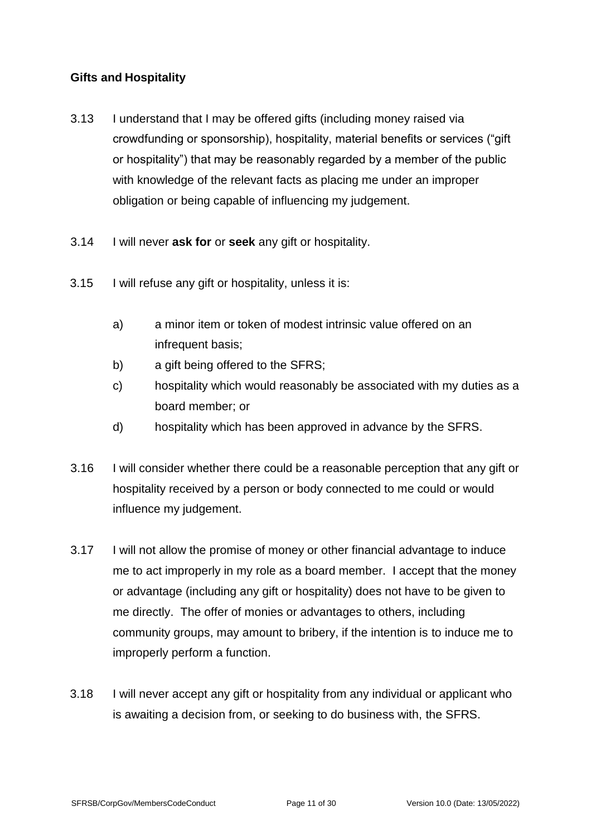### <span id="page-10-0"></span>**Gifts and Hospitality**

- 3.13 I understand that I may be offered gifts (including money raised via crowdfunding or sponsorship), hospitality, material benefits or services ("gift or hospitality") that may be reasonably regarded by a member of the public with knowledge of the relevant facts as placing me under an improper obligation or being capable of influencing my judgement.
- 3.14 I will never **ask for** or **seek** any gift or hospitality.
- 3.15 I will refuse any gift or hospitality, unless it is:
	- a) a minor item or token of modest intrinsic value offered on an infrequent basis;
	- b) a gift being offered to the SFRS;
	- c) hospitality which would reasonably be associated with my duties as a board member; or
	- d) hospitality which has been approved in advance by the SFRS.
- 3.16 I will consider whether there could be a reasonable perception that any gift or hospitality received by a person or body connected to me could or would influence my judgement.
- 3.17 I will not allow the promise of money or other financial advantage to induce me to act improperly in my role as a board member. I accept that the money or advantage (including any gift or hospitality) does not have to be given to me directly. The offer of monies or advantages to others, including community groups, may amount to bribery, if the intention is to induce me to improperly perform a function.
- 3.18 I will never accept any gift or hospitality from any individual or applicant who is awaiting a decision from, or seeking to do business with, the SFRS.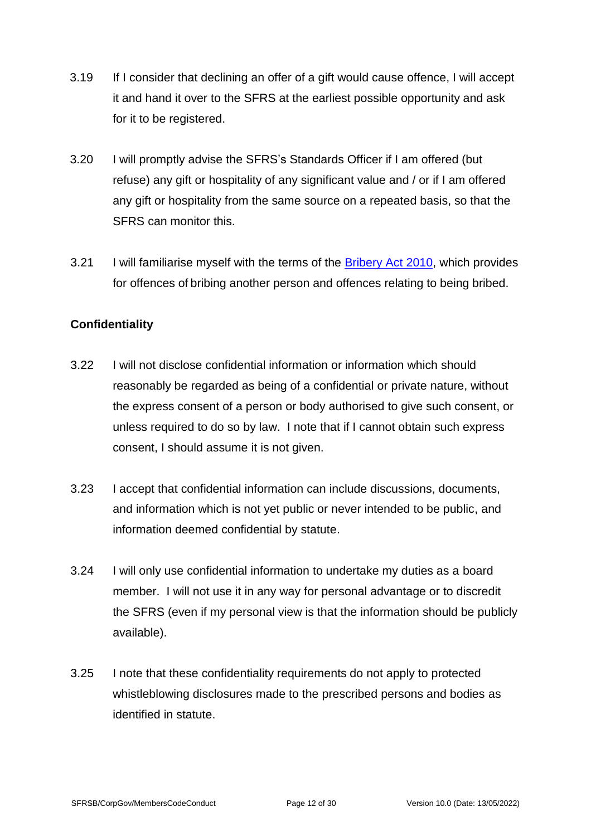- 3.19 If I consider that declining an offer of a gift would cause offence, I will accept it and hand it over to the SFRS at the earliest possible opportunity and ask for it to be registered.
- 3.20 I will promptly advise the SFRS's Standards Officer if I am offered (but refuse) any gift or hospitality of any significant value and / or if I am offered any gift or hospitality from the same source on a repeated basis, so that the SFRS can monitor this.
- 3.21 I will familiarise myself with the terms of the [Bribery Act 2010,](https://www.legislation.gov.uk/ukpga/2010/23/contents) which provides for offences of bribing another person and offences relating to being bribed.

## <span id="page-11-0"></span>**Confidentiality**

- 3.22 I will not disclose confidential information or information which should reasonably be regarded as being of a confidential or private nature, without the express consent of a person or body authorised to give such consent, or unless required to do so by law. I note that if I cannot obtain such express consent, I should assume it is not given.
- 3.23 I accept that confidential information can include discussions, documents, and information which is not yet public or never intended to be public, and information deemed confidential by statute.
- 3.24 I will only use confidential information to undertake my duties as a board member. I will not use it in any way for personal advantage or to discredit the SFRS (even if my personal view is that the information should be publicly available).
- 3.25 I note that these confidentiality requirements do not apply to protected whistleblowing disclosures made to the prescribed persons and bodies as identified in statute.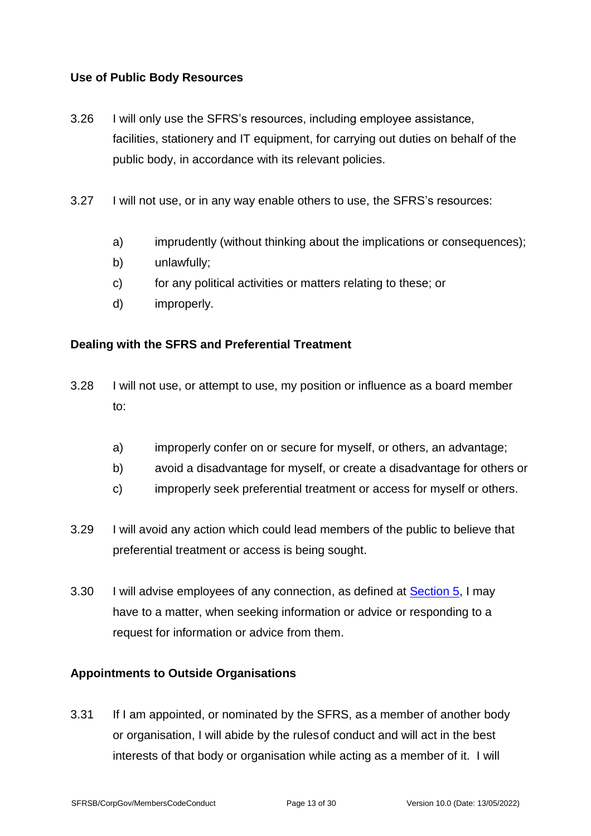### <span id="page-12-0"></span>**Use of Public Body Resources**

- 3.26 I will only use the SFRS's resources, including employee assistance, facilities, stationery and IT equipment, for carrying out duties on behalf of the public body, in accordance with its relevant policies.
- 3.27 I will not use, or in any way enable others to use, the SFRS's resources:
	- a) imprudently (without thinking about the implications or consequences);
	- b) unlawfully;
	- c) for any political activities or matters relating to these; or
	- d) improperly.

#### <span id="page-12-1"></span>**Dealing with the SFRS and Preferential Treatment**

- 3.28 I will not use, or attempt to use, my position or influence as a board member to:
	- a) improperly confer on or secure for myself, or others, an advantage;
	- b) avoid a disadvantage for myself, or create a disadvantage for others or
	- c) improperly seek preferential treatment or access for myself or others.
- 3.29 I will avoid any action which could lead members of the public to believe that preferential treatment or access is being sought.
- 3.30 I will advise employees of any connection, as defined at **Section 5**, I may have to a matter, when seeking information or advice or responding to a request for information or advice from them.

#### <span id="page-12-2"></span>**Appointments to Outside Organisations**

3.31 If I am appointed, or nominated by the SFRS, as a member of another body or organisation, I will abide by the rulesof conduct and will act in the best interests of that body or organisation while acting as a member of it. I will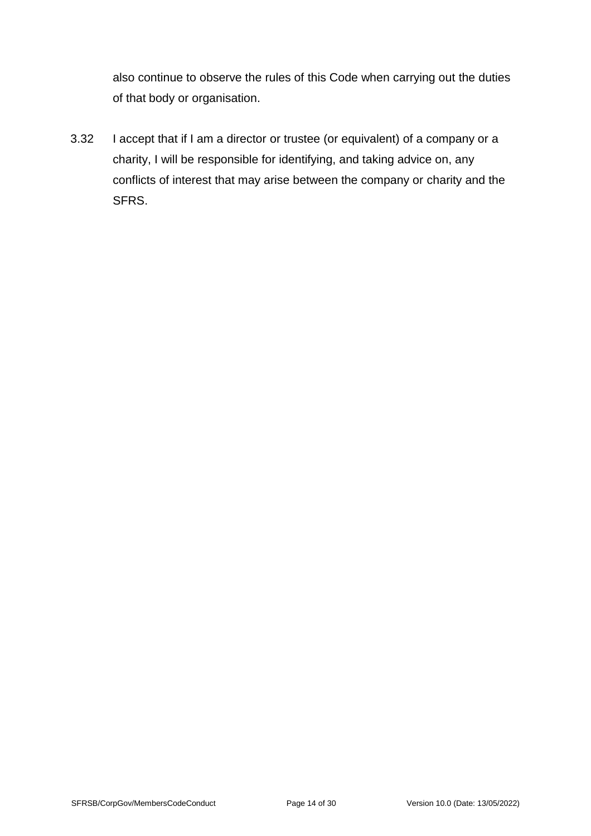also continue to observe the rules of this Code when carrying out the duties of that body or organisation.

3.32 I accept that if I am a director or trustee (or equivalent) of a company or a charity, I will be responsible for identifying, and taking advice on, any conflicts of interest that may arise between the company or charity and the SFRS.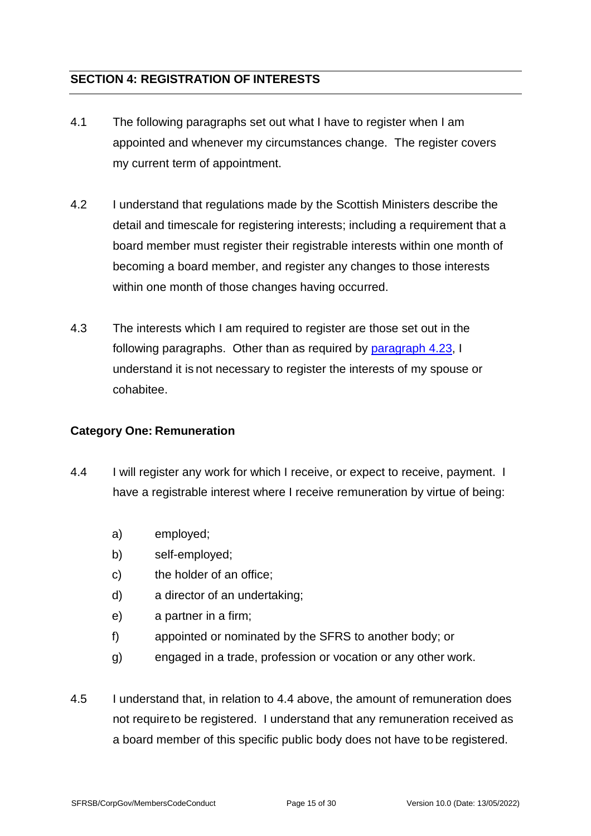## <span id="page-14-0"></span>**SECTION 4: REGISTRATION OF INTERESTS**

- 4.1 The following paragraphs set out what I have to register when I am appointed and whenever my circumstances change. The register covers my current term of appointment.
- 4.2 I understand that regulations made by the Scottish Ministers describe the detail and timescale for registering interests; including a requirement that a board member must register their registrable interests within one month of becoming a board member, and register any changes to those interests within one month of those changes having occurred.
- 4.3 The interests which I am required to register are those set out in the following paragraphs. Other than as required by [paragraph 4.23,](#page-18-1) I understand it is not necessary to register the interests of my spouse or cohabitee.

#### <span id="page-14-1"></span>**Category One: Remuneration**

- <span id="page-14-2"></span>4.4 I will register any work for which I receive, or expect to receive, payment. I have a registrable interest where I receive remuneration by virtue of being:
	- a) employed;
	- b) self-employed;
	- c) the holder of an office;
	- d) a director of an undertaking;
	- e) a partner in a firm;
	- f) appointed or nominated by the SFRS to another body; or
	- g) engaged in a trade, profession or vocation or any other work.
- 4.5 I understand that, in relation to 4.4 above, the amount of remuneration does not requireto be registered. I understand that any remuneration received as a board member of this specific public body does not have to be registered.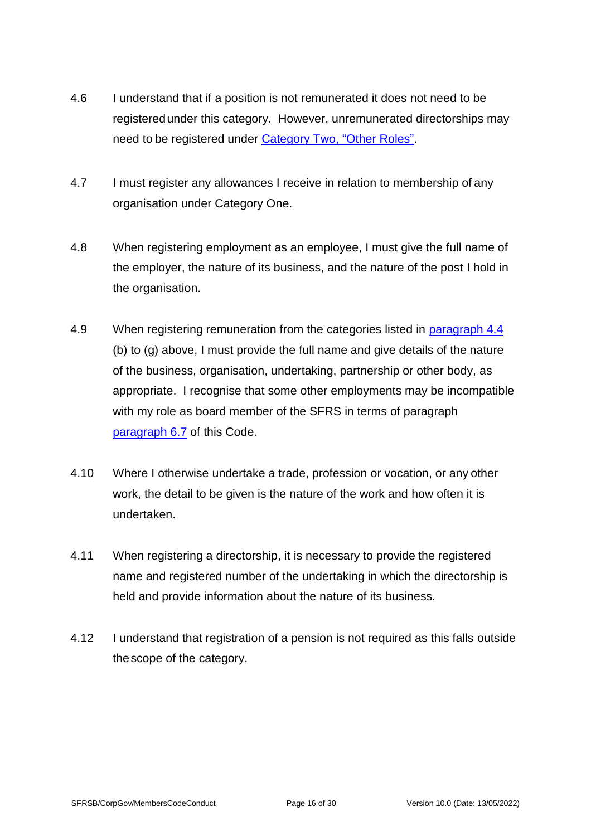- 4.6 I understand that if a position is not remunerated it does not need to be registeredunder this category. However, unremunerated directorships may need to be registered under [Category Two, "Other Roles".](#page-16-0)
- 4.7 I must register any allowances I receive in relation to membership of any organisation under Category One.
- 4.8 When registering employment as an employee, I must give the full name of the employer, the nature of its business, and the nature of the post I hold in the organisation.
- 4.9 When registering remuneration from the categories listed in [paragraph 4.4](#page-14-2) (b) to (g) above, I must provide the full name and give details of the nature of the business, organisation, undertaking, partnership or other body, as appropriate. I recognise that some other employments may be incompatible with my role as board member of the SFRS in terms of paragraph [paragraph 6.7](#page-22-0) of this Code.
- 4.10 Where I otherwise undertake a trade, profession or vocation, or any other work, the detail to be given is the nature of the work and how often it is undertaken.
- 4.11 When registering a directorship, it is necessary to provide the registered name and registered number of the undertaking in which the directorship is held and provide information about the nature of its business.
- 4.12 I understand that registration of a pension is not required as this falls outside thescope of the category.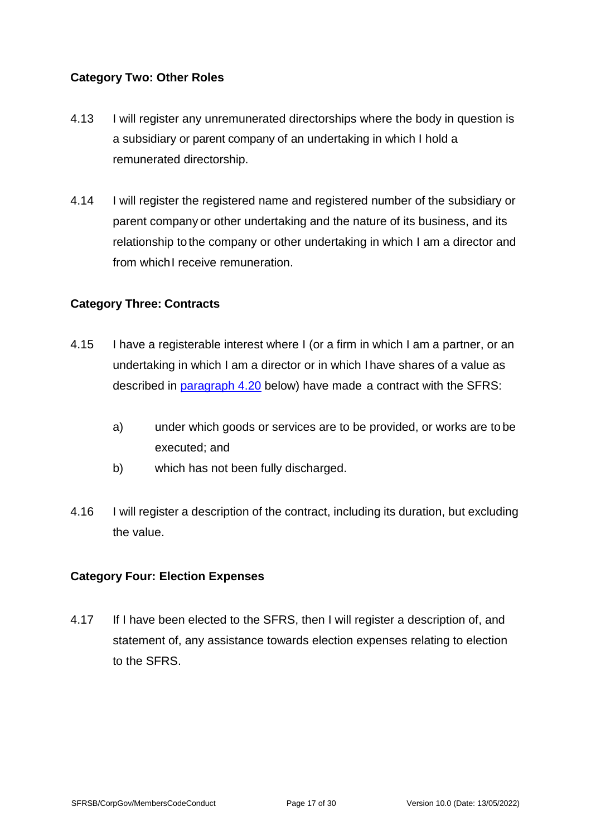## <span id="page-16-0"></span>**Category Two: Other Roles**

- 4.13 I will register any unremunerated directorships where the body in question is a subsidiary or parent company of an undertaking in which I hold a remunerated directorship.
- 4.14 I will register the registered name and registered number of the subsidiary or parent company or other undertaking and the nature of its business, and its relationship to the company or other undertaking in which I am a director and from which I receive remuneration.

## <span id="page-16-1"></span>**Category Three: Contracts**

- 4.15 I have a registerable interest where I (or a firm in which I am a partner, or an undertaking in which I am a director or in which I have shares of a value as described in [paragraph 4.20](#page-17-4) below) have made a contract with the SFRS:
	- a) under which goods or services are to be provided, or works are to be executed; and
	- b) which has not been fully discharged.
- 4.16 I will register a description of the contract, including its duration, but excluding the value.

## <span id="page-16-2"></span>**Category Four: Election Expenses**

4.17 If I have been elected to the SFRS, then I will register a description of, and statement of, any assistance towards election expenses relating to election to the SFRS.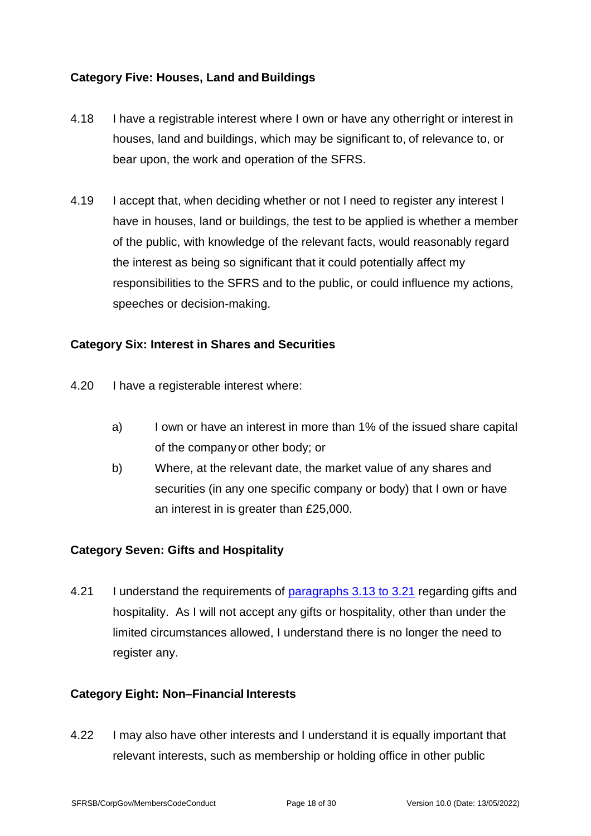## <span id="page-17-0"></span>**Category Five: Houses, Land and Buildings**

- 4.18 I have a registrable interest where I own or have any otherright or interest in houses, land and buildings, which may be significant to, of relevance to, or bear upon, the work and operation of the SFRS.
- 4.19 I accept that, when deciding whether or not I need to register any interest I have in houses, land or buildings, the test to be applied is whether a member of the public, with knowledge of the relevant facts, would reasonably regard the interest as being so significant that it could potentially affect my responsibilities to the SFRS and to the public, or could influence my actions, speeches or decision-making.

## <span id="page-17-1"></span>**Category Six: Interest in Shares and Securities**

- <span id="page-17-4"></span>4.20 I have a registerable interest where:
	- a) I own or have an interest in more than 1% of the issued share capital of the companyor other body; or
	- b) Where, at the relevant date, the market value of any shares and securities (in any one specific company or body) that I own or have an interest in is greater than £25,000.

## <span id="page-17-2"></span>**Category Seven: Gifts and Hospitality**

4.21 I understand the requirements of [paragraphs 3.13](#page-10-0) to 3.21 regarding gifts and hospitality. As I will not accept any gifts or hospitality, other than under the limited circumstances allowed, I understand there is no longer the need to register any.

## <span id="page-17-3"></span>**Category Eight: Non–Financial Interests**

4.22 I may also have other interests and I understand it is equally important that relevant interests, such as membership or holding office in other public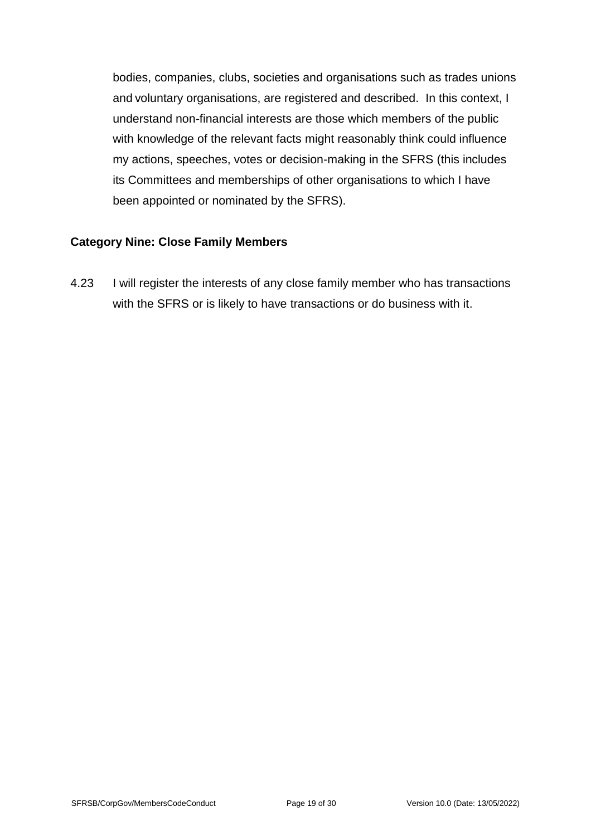bodies, companies, clubs, societies and organisations such as trades unions and voluntary organisations, are registered and described. In this context, I understand non-financial interests are those which members of the public with knowledge of the relevant facts might reasonably think could influence my actions, speeches, votes or decision-making in the SFRS (this includes its Committees and memberships of other organisations to which I have been appointed or nominated by the SFRS).

#### <span id="page-18-0"></span>**Category Nine: Close Family Members**

<span id="page-18-1"></span>4.23 I will register the interests of any close family member who has transactions with the SFRS or is likely to have transactions or do business with it.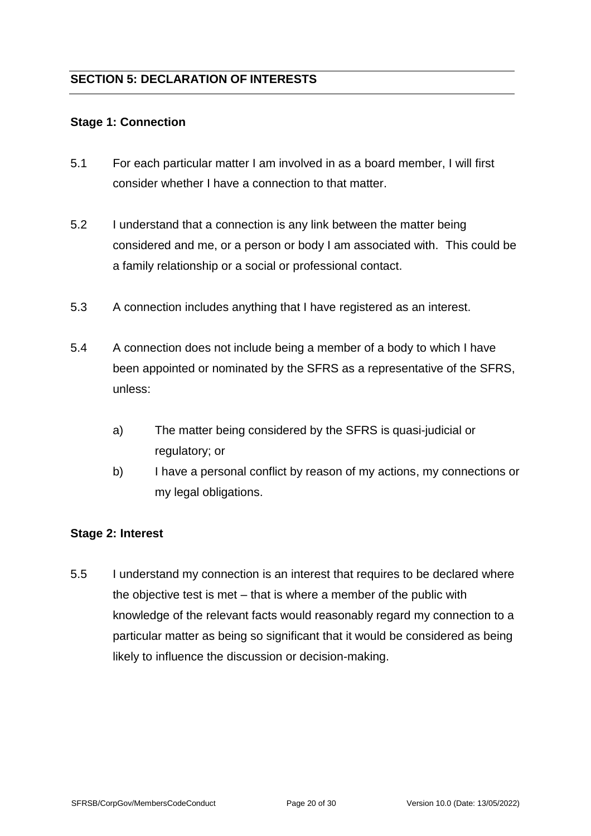## <span id="page-19-1"></span><span id="page-19-0"></span>**Stage 1: Connection**

- 5.1 For each particular matter I am involved in as a board member, I will first consider whether I have a connection to that matter.
- 5.2 I understand that a connection is any link between the matter being considered and me, or a person or body I am associated with. This could be a family relationship or a social or professional contact.
- 5.3 A connection includes anything that I have registered as an interest.
- 5.4 A connection does not include being a member of a body to which I have been appointed or nominated by the SFRS as a representative of the SFRS, unless:
	- a) The matter being considered by the SFRS is quasi-judicial or regulatory; or
	- b) I have a personal conflict by reason of my actions, my connections or my legal obligations.

#### <span id="page-19-2"></span>**Stage 2: Interest**

5.5 I understand my connection is an interest that requires to be declared where the objective test is met – that is where a member of the public with knowledge of the relevant facts would reasonably regard my connection to a particular matter as being so significant that it would be considered as being likely to influence the discussion or decision-making.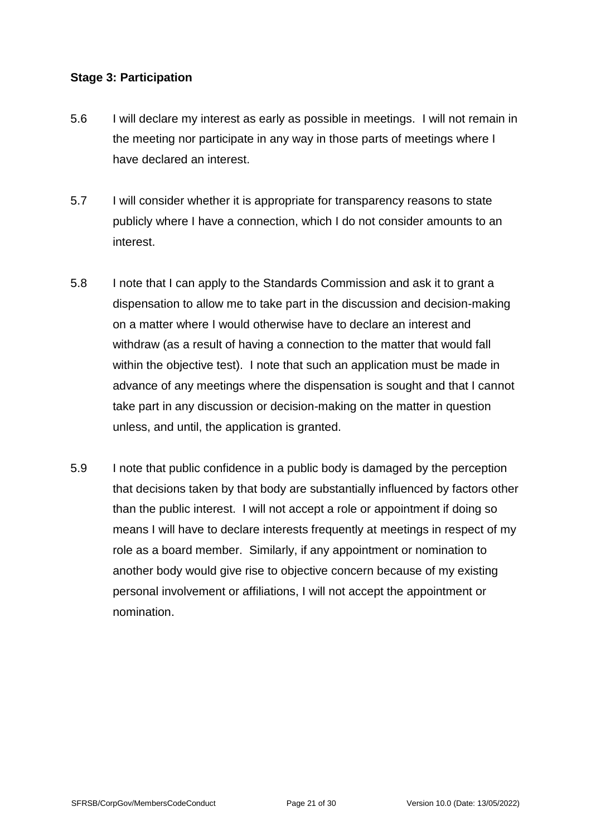#### <span id="page-20-0"></span>**Stage 3: Participation**

- 5.6 I will declare my interest as early as possible in meetings. I will not remain in the meeting nor participate in any way in those parts of meetings where I have declared an interest.
- 5.7 I will consider whether it is appropriate for transparency reasons to state publicly where I have a connection, which I do not consider amounts to an interest.
- 5.8 I note that I can apply to the Standards Commission and ask it to grant a dispensation to allow me to take part in the discussion and decision-making on a matter where I would otherwise have to declare an interest and withdraw (as a result of having a connection to the matter that would fall within the objective test). I note that such an application must be made in advance of any meetings where the dispensation is sought and that I cannot take part in any discussion or decision-making on the matter in question unless, and until, the application is granted.
- 5.9 I note that public confidence in a public body is damaged by the perception that decisions taken by that body are substantially influenced by factors other than the public interest. I will not accept a role or appointment if doing so means I will have to declare interests frequently at meetings in respect of my role as a board member. Similarly, if any appointment or nomination to another body would give rise to objective concern because of my existing personal involvement or affiliations, I will not accept the appointment or nomination.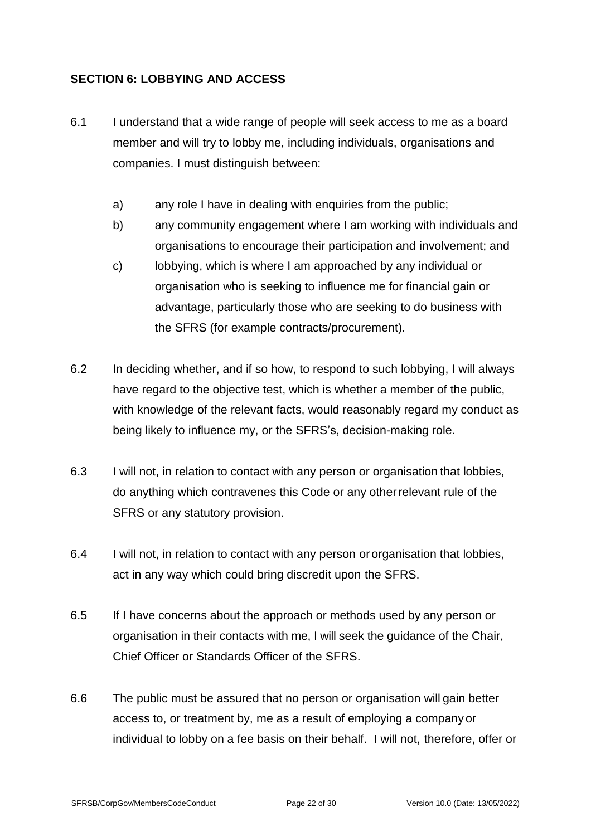## <span id="page-21-0"></span>**SECTION 6: LOBBYING AND ACCESS**

- 6.1 I understand that a wide range of people will seek access to me as a board member and will try to lobby me, including individuals, organisations and companies. I must distinguish between:
	- a) any role I have in dealing with enquiries from the public;
	- b) any community engagement where I am working with individuals and organisations to encourage their participation and involvement; and
	- c) lobbying, which is where I am approached by any individual or organisation who is seeking to influence me for financial gain or advantage, particularly those who are seeking to do business with the SFRS (for example contracts/procurement).
- 6.2 In deciding whether, and if so how, to respond to such lobbying, I will always have regard to the objective test, which is whether a member of the public, with knowledge of the relevant facts, would reasonably regard my conduct as being likely to influence my, or the SFRS's, decision-making role.
- 6.3 I will not, in relation to contact with any person or organisation that lobbies, do anything which contravenes this Code or any otherrelevant rule of the SFRS or any statutory provision.
- 6.4 I will not, in relation to contact with any person ororganisation that lobbies, act in any way which could bring discredit upon the SFRS.
- 6.5 If I have concerns about the approach or methods used by any person or organisation in their contacts with me, I will seek the guidance of the Chair, Chief Officer or Standards Officer of the SFRS.
- 6.6 The public must be assured that no person or organisation will gain better access to, or treatment by, me as a result of employing a company or individual to lobby on a fee basis on their behalf. I will not, therefore, offer or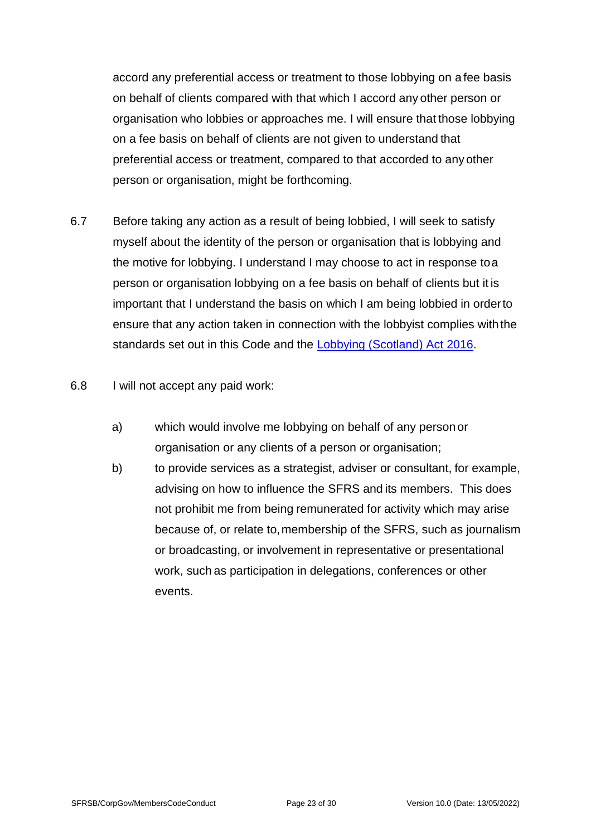accord any preferential access or treatment to those lobbying on a fee basis on behalf of clients compared with that which I accord any other person or organisation who lobbies or approaches me. I will ensure that those lobbying on a fee basis on behalf of clients are not given to understand that preferential access or treatment, compared to that accorded to any other person or organisation, might be forthcoming.

- <span id="page-22-0"></span>6.7 Before taking any action as a result of being lobbied, I will seek to satisfy myself about the identity of the person or organisation that is lobbying and the motive for lobbying. I understand I may choose to act in response toa person or organisation lobbying on a fee basis on behalf of clients but it is important that I understand the basis on which I am being lobbied in orderto ensure that any action taken in connection with the lobbyist complies withthe standards set out in this Code and the [Lobbying \(Scotland\) Act 2016.](https://www.legislation.gov.uk/asp/2016/16/contents)
- 6.8 I will not accept any paid work:
	- a) which would involve me lobbying on behalf of any person or organisation or any clients of a person or organisation;
	- b) to provide services as a strategist, adviser or consultant, for example, advising on how to influence the SFRS and its members. This does not prohibit me from being remunerated for activity which may arise because of, or relate to,membership of the SFRS, such as journalism or broadcasting, or involvement in representative or presentational work, such as participation in delegations, conferences or other events.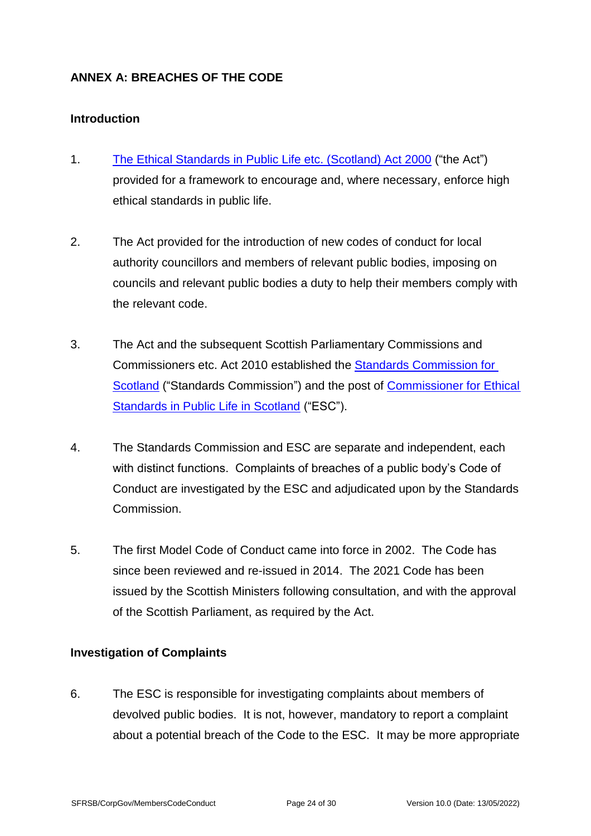## <span id="page-23-0"></span>**ANNEX A: BREACHES OF THE CODE**

#### **Introduction**

- 1. The Ethical Standards [in Public Life etc. \(Scotland\) Act 2000](http://www.legislation.gov.uk/asp/2000/7/contents) ("the Act") provided for a framework to encourage and, where necessary, enforce high ethical standards in public life.
- 2. The Act provided for the introduction of new codes of conduct for local authority councillors and members of relevant public bodies, imposing on councils and relevant public bodies a duty to help their members comply with the relevant code.
- 3. The Act and the subsequent Scottish Parliamentary Commissions and Commissioners etc. Act 2010 established the [Standards Commission for](https://www.standardscommissionscotland.org.uk/)  [Scotland](https://www.standardscommissionscotland.org.uk/) ("Standards Commission") and the post of [Commissioner for Ethical](https://www.ethicalstandards.org.uk/)  [Standards in Public Life in Scotland](https://www.ethicalstandards.org.uk/) ("ESC").
- 4. The Standards Commission and ESC are separate and independent, each with distinct functions. Complaints of breaches of a public body's Code of Conduct are investigated by the ESC and adjudicated upon by the Standards Commission.
- 5. The first Model Code of Conduct came into force in 2002. The Code has since been reviewed and re-issued in 2014. The 2021 Code has been issued by the Scottish Ministers following consultation, and with the approval of the Scottish Parliament, as required by the Act.

## **Investigation of Complaints**

6. The ESC is responsible for investigating complaints about members of devolved public bodies. It is not, however, mandatory to report a complaint about a potential breach of the Code to the ESC. It may be more appropriate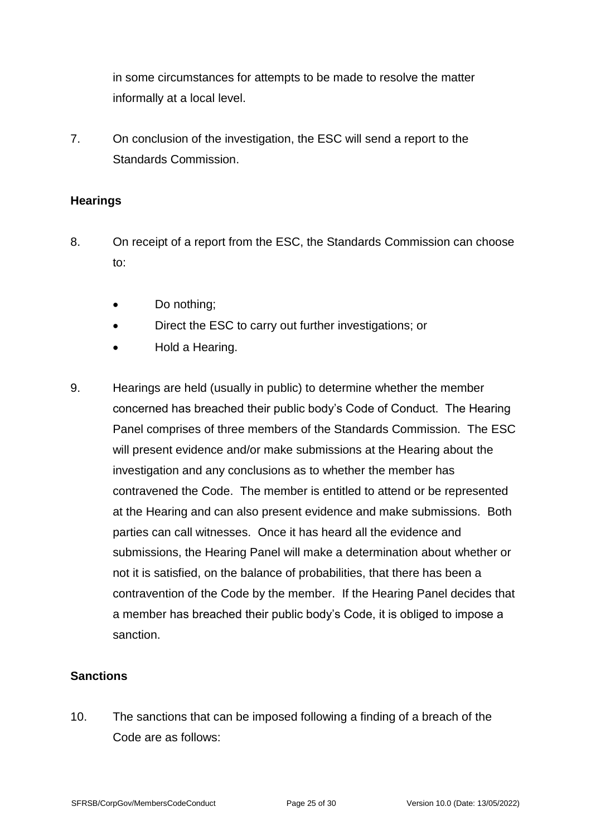in some circumstances for attempts to be made to resolve the matter informally at a local level.

7. On conclusion of the investigation, the ESC will send a report to the Standards Commission.

## **Hearings**

- 8. On receipt of a report from the ESC, the Standards Commission can choose to:
	- Do nothing;
	- Direct the ESC to carry out further investigations; or
	- Hold a Hearing.
- 9. Hearings are held (usually in public) to determine whether the member concerned has breached their public body's Code of Conduct. The Hearing Panel comprises of three members of the Standards Commission. The ESC will present evidence and/or make submissions at the Hearing about the investigation and any conclusions as to whether the member has contravened the Code. The member is entitled to attend or be represented at the Hearing and can also present evidence and make submissions. Both parties can call witnesses. Once it has heard all the evidence and submissions, the Hearing Panel will make a determination about whether or not it is satisfied, on the balance of probabilities, that there has been a contravention of the Code by the member. If the Hearing Panel decides that a member has breached their public body's Code, it is obliged to impose a sanction.

## **Sanctions**

10. The sanctions that can be imposed following a finding of a breach of the Code are as follows: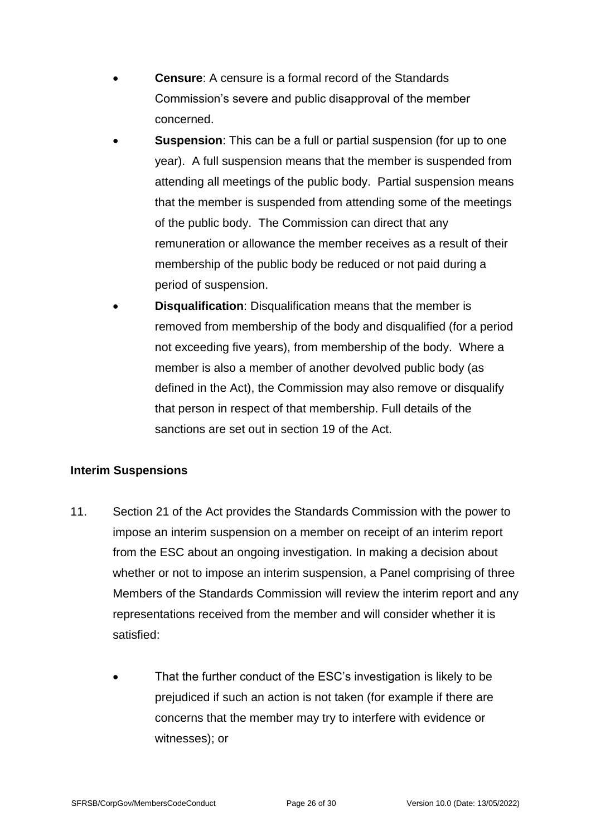- **Censure:** A censure is a formal record of the Standards Commission's severe and public disapproval of the member concerned.
- **Suspension**: This can be a full or partial suspension (for up to one year). A full suspension means that the member is suspended from attending all meetings of the public body. Partial suspension means that the member is suspended from attending some of the meetings of the public body. The Commission can direct that any remuneration or allowance the member receives as a result of their membership of the public body be reduced or not paid during a period of suspension.
- **Disqualification:** Disqualification means that the member is removed from membership of the body and disqualified (for a period not exceeding five years), from membership of the body. Where a member is also a member of another devolved public body (as defined in the Act), the Commission may also remove or disqualify that person in respect of that membership. Full details of the sanctions are set out in section 19 of the Act.

## **Interim Suspensions**

- 11. Section 21 of the Act provides the Standards Commission with the power to impose an interim suspension on a member on receipt of an interim report from the ESC about an ongoing investigation. In making a decision about whether or not to impose an interim suspension, a Panel comprising of three Members of the Standards Commission will review the interim report and any representations received from the member and will consider whether it is satisfied:
	- That the further conduct of the ESC's investigation is likely to be prejudiced if such an action is not taken (for example if there are concerns that the member may try to interfere with evidence or witnesses); or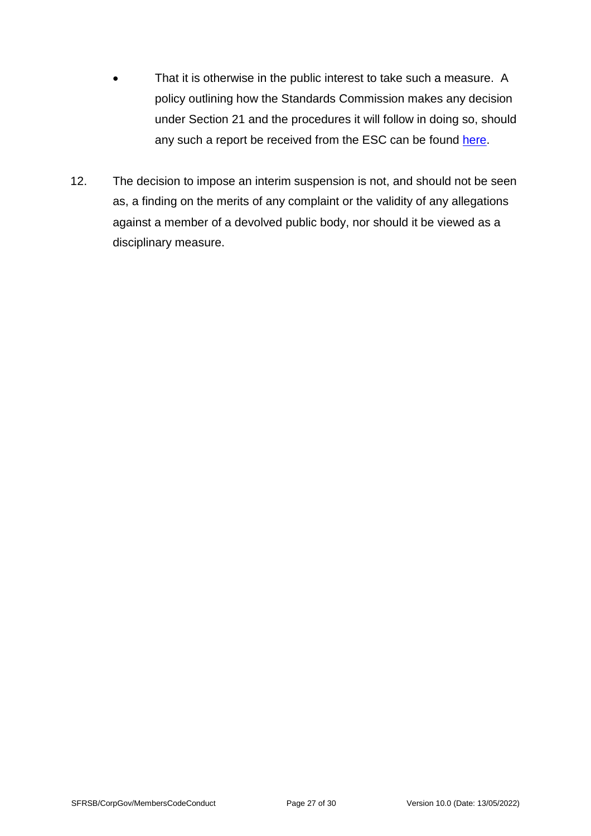- That it is otherwise in the public interest to take such a measure. A policy outlining how the Standards Commission makes any decision under Section 21 and the procedures it will follow in doing so, should any such a report be received from the ESC can be found [here.](https://www.standardscommissionscotland.org.uk/cases)
- 12. The decision to impose an interim suspension is not, and should not be seen as, a finding on the merits of any complaint or the validity of any allegations against a member of a devolved public body, nor should it be viewed as a disciplinary measure.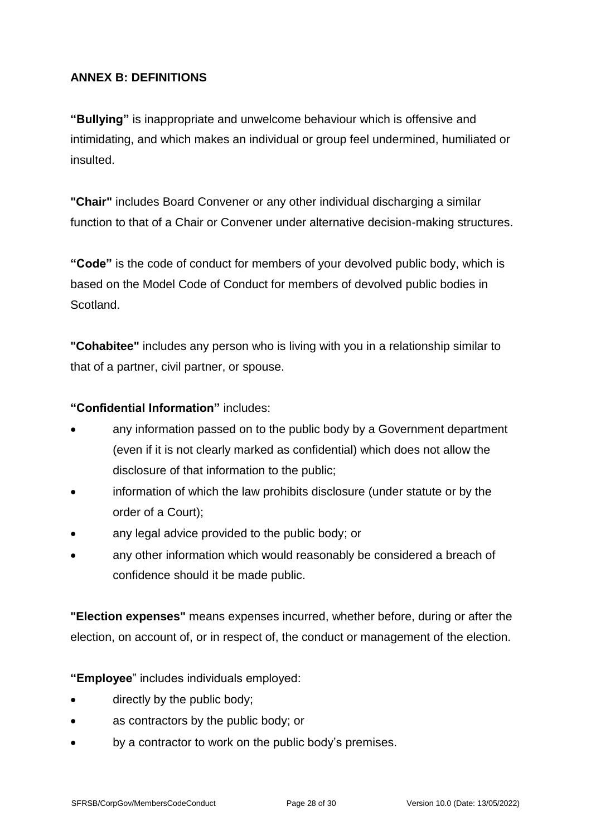## <span id="page-27-0"></span>**ANNEX B: DEFINITIONS**

**"Bullying"** is inappropriate and unwelcome behaviour which is offensive and intimidating, and which makes an individual or group feel undermined, humiliated or insulted.

**"Chair"** includes Board Convener or any other individual discharging a similar function to that of a Chair or Convener under alternative decision-making structures.

**"Code"** is the code of conduct for members of your devolved public body, which is based on the Model Code of Conduct for members of devolved public bodies in Scotland.

**"Cohabitee"** includes any person who is living with you in a relationship similar to that of a partner, civil partner, or spouse.

## **"Confidential Information"** includes:

- any information passed on to the public body by a Government department (even if it is not clearly marked as confidential) which does not allow the disclosure of that information to the public;
- information of which the law prohibits disclosure (under statute or by the order of a Court);
- any legal advice provided to the public body; or
- any other information which would reasonably be considered a breach of confidence should it be made public.

**"Election expenses"** means expenses incurred, whether before, during or after the election, on account of, or in respect of, the conduct or management of the election.

**"Employee**" includes individuals employed:

- directly by the public body;
- as contractors by the public body; or
- by a contractor to work on the public body's premises.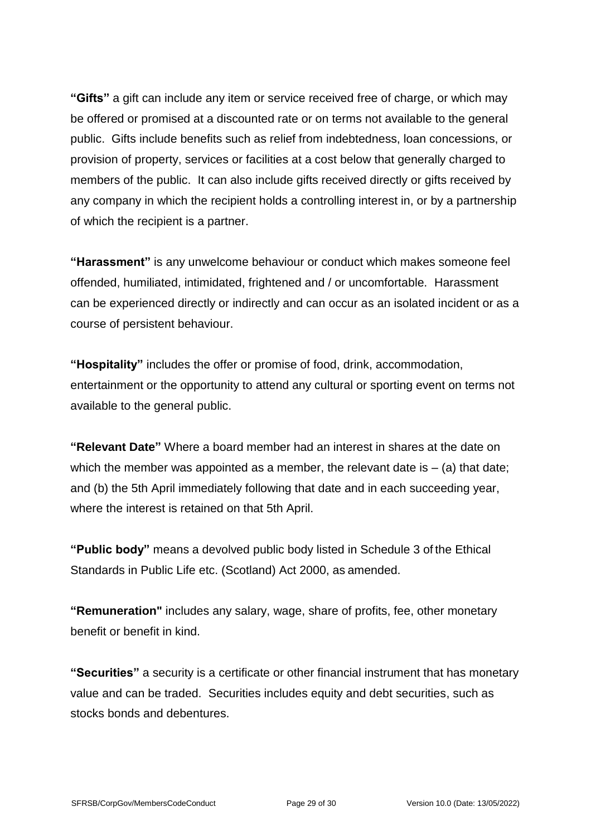**"Gifts"** a gift can include any item or service received free of charge, or which may be offered or promised at a discounted rate or on terms not available to the general public. Gifts include benefits such as relief from indebtedness, loan concessions, or provision of property, services or facilities at a cost below that generally charged to members of the public. It can also include gifts received directly or gifts received by any company in which the recipient holds a controlling interest in, or by a partnership of which the recipient is a partner.

**"Harassment"** is any unwelcome behaviour or conduct which makes someone feel offended, humiliated, intimidated, frightened and / or uncomfortable. Harassment can be experienced directly or indirectly and can occur as an isolated incident or as a course of persistent behaviour.

**"Hospitality"** includes the offer or promise of food, drink, accommodation, entertainment or the opportunity to attend any cultural or sporting event on terms not available to the general public.

**"Relevant Date"** Where a board member had an interest in shares at the date on which the member was appointed as a member, the relevant date is  $-$  (a) that date; and (b) the 5th April immediately following that date and in each succeeding year, where the interest is retained on that 5th April.

**"Public body"** means a devolved public body listed in Schedule 3 of the Ethical Standards in Public Life etc. (Scotland) Act 2000, as amended.

**"Remuneration"** includes any salary, wage, share of profits, fee, other monetary benefit or benefit in kind.

**"Securities"** a security is a certificate or other financial instrument that has monetary value and can be traded. Securities includes equity and debt securities, such as stocks bonds and debentures.